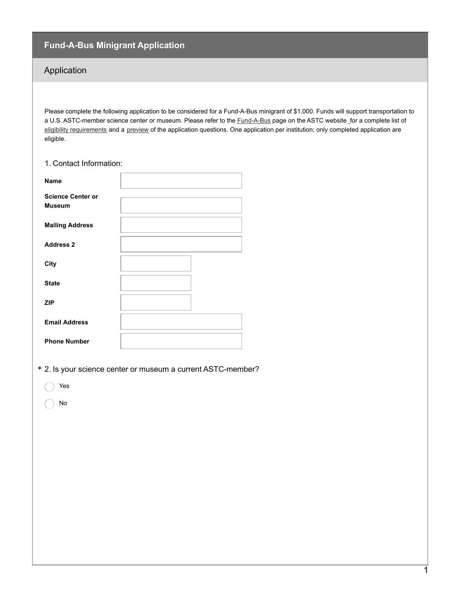## **Fund-A-Bus Minigrant Application**

## Application

Please complete the following application to be considered for a Fund-A-Bus minigrant of \$1,000. Funds will support transportation to a U.S. ASTC-member science center or museum. Please refer to the **[Fund-A-Bus](http://www.astc.org/fund-a-bus/)** page on the ASTC website for a complete list of eligibility [requirements](http://www.astc.org/fund-a-bus/) and a [preview](http://www.astc.org/fund-a-bus/) of the application questions. One application per institution; only completed application are eligible.

| 1. Contact Information:                   |  |
|-------------------------------------------|--|
| <b>Name</b>                               |  |
| <b>Science Center or</b><br><b>Museum</b> |  |
| <b>Mailing Address</b>                    |  |
| <b>Address 2</b>                          |  |
| City                                      |  |
| <b>State</b>                              |  |
| <b>ZIP</b>                                |  |
| <b>Email Address</b>                      |  |
| <b>Phone Number</b>                       |  |

\* 2. Is your science center or museum a current ASTC-member?

Yes

No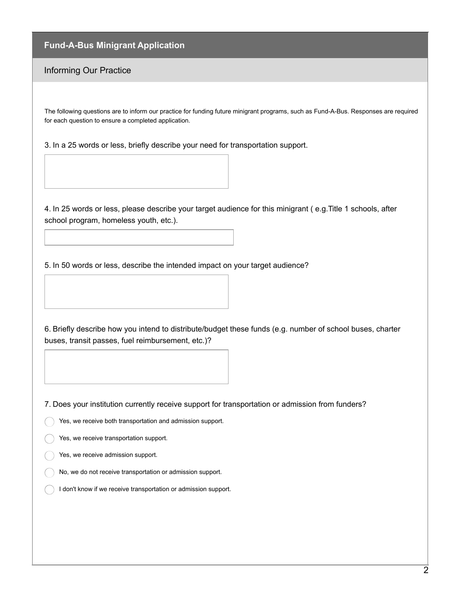## **Fund-A-Bus Minigrant Application**

## Informing Our Practice

The following questions are to inform our practice for funding future minigrant programs, such as Fund-A-Bus. Responses are required for each question to ensure a completed application.

3. In a 25 words or less, briefly describe your need for transportation support.

4. In 25 words or less, please describe your target audience for this minigrant ( e.g.Title 1 schools, after school program, homeless youth, etc.).

5. In 50 words or less, describe the intended impact on your target audience?

6. Briefly describe how you intend to distribute/budget these funds (e.g. number of school buses, charter buses, transit passes, fuel reimbursement, etc.)?

7. Does your institution currently receive support for transportation or admission from funders?

Yes, we receive both transportation and admission support.

Yes, we receive transportation support.

Yes, we receive admission support.

No, we do not receive transportation or admission support.

I don't know if we receive transportation or admission support.